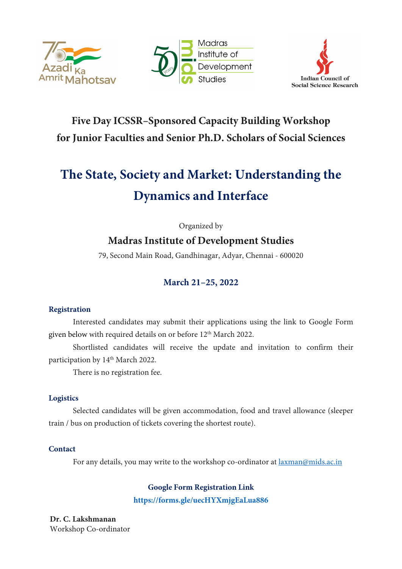





# **Five Day ICSSR–Sponsored Capacity Building Workshop for Junior Faculties and Senior Ph.D. Scholars of Social Sciences**

# **The State, Society and Market: Understanding the Dynamics and Interface**

Organized by

# **Madras Institute of Development Studies**

79, Second Main Road, Gandhinagar, Adyar, Chennai - 600020

## **March 21–25, 2022**

### **Registration**

Interested candidates may submit their applications using the link to Google Form given below with required details on or before 12<sup>th</sup> March 2022.

Shortlisted candidates will receive the update and invitation to confirm their participation by 14<sup>th</sup> March 2022.

There is no registration fee.

### **Logistics**

Selected candidates will be given accommodation, food and travel allowance (sleeper train / bus on production of tickets covering the shortest route).

### **Contact**

For any details, you may write to the workshop co-ordinator at [laxman@mids.ac.in](mailto:laxman@mids.ac.in)

**Google Form Registration Link**

**<https://forms.gle/uecHYXmjgEaLua886>**

**Dr. C. Lakshmanan** Workshop Co-ordinator